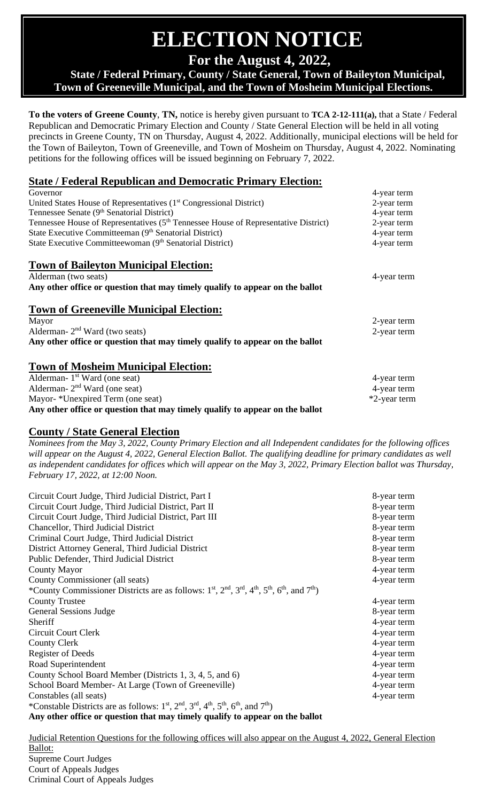# **ELECTION NOTICE**

**For the August 4, 2022,**

## **State / Federal Primary, County / State General, Town of Baileyton Municipal, Town of Greeneville Municipal, and the Town of Mosheim Municipal Elections.**

**To the voters of Greene County**, **TN,** notice is hereby given pursuant to **TCA 2-12-111(a),** that a State / Federal Republican and Democratic Primary Election and County / State General Election will be held in all voting precincts in Greene County, TN on Thursday, August 4, 2022. Additionally, municipal elections will be held for the Town of Baileyton, Town of Greeneville, and Town of Mosheim on Thursday, August 4, 2022. Nominating petitions for the following offices will be issued beginning on February 7, 2022.

# **State / Federal Republican and Democratic Primary Election:**

| Governor                                                                                        | 4-year term  |
|-------------------------------------------------------------------------------------------------|--------------|
| United States House of Representatives (1 <sup>st</sup> Congressional District)                 | 2-year term  |
| Tennessee Senate (9 <sup>th</sup> Senatorial District)                                          | 4-year term  |
| Tennessee House of Representatives (5 <sup>th</sup> Tennessee House of Representative District) | 2-year term  |
| State Executive Committeeman (9th Senatorial District)                                          | 4-year term  |
| State Executive Committeewoman (9th Senatorial District)                                        | 4-year term  |
| <b>Town of Baileyton Municipal Election:</b>                                                    |              |
| Alderman (two seats)                                                                            | 4-year term  |
| Any other office or question that may timely qualify to appear on the ballot                    |              |
| <b>Town of Greeneville Municipal Election:</b>                                                  |              |
| Mayor                                                                                           | 2-year term  |
| Alderman- $2nd$ Ward (two seats)                                                                | 2-year term  |
| Any other office or question that may timely qualify to appear on the ballot                    |              |
| <b>Town of Mosheim Municipal Election:</b>                                                      |              |
| Alderman- $1st$ Ward (one seat)                                                                 | 4-year term  |
| Alderman- $2nd$ Ward (one seat)                                                                 | 4-year term  |
| Mayor- *Unexpired Term (one seat)                                                               | *2-year term |
| Any other office or question that may timely qualify to appear on the ballot                    |              |

## **County / State General Election**

*Nominees from the May 3, 2022, County Primary Election and all Independent candidates for the following offices will appear on the August 4, 2022, General Election Ballot. The qualifying deadline for primary candidates as well as independent candidates for offices which will appear on the May 3, 2022, Primary Election ballot was Thursday, February 17, 2022, at 12:00 Noon.* 

| Circuit Court Judge, Third Judicial District, Part I                                                                                                                             | 8-year term |
|----------------------------------------------------------------------------------------------------------------------------------------------------------------------------------|-------------|
| Circuit Court Judge, Third Judicial District, Part II                                                                                                                            | 8-year term |
| Circuit Court Judge, Third Judicial District, Part III                                                                                                                           | 8-year term |
| Chancellor, Third Judicial District                                                                                                                                              | 8-year term |
| Criminal Court Judge, Third Judicial District                                                                                                                                    | 8-year term |
| District Attorney General, Third Judicial District                                                                                                                               | 8-year term |
| Public Defender, Third Judicial District                                                                                                                                         | 8-year term |
| <b>County Mayor</b>                                                                                                                                                              | 4-year term |
| County Commissioner (all seats)                                                                                                                                                  | 4-year term |
| *County Commissioner Districts are as follows: 1 <sup>st</sup> , 2 <sup>nd</sup> , 3 <sup>rd</sup> , 4 <sup>th</sup> , 5 <sup>th</sup> , 6 <sup>th</sup> , and 7 <sup>th</sup> ) |             |
| <b>County Trustee</b>                                                                                                                                                            | 4-year term |
| <b>General Sessions Judge</b>                                                                                                                                                    | 8-year term |
| Sheriff                                                                                                                                                                          | 4-year term |
| <b>Circuit Court Clerk</b>                                                                                                                                                       | 4-year term |
| <b>County Clerk</b>                                                                                                                                                              | 4-year term |
| Register of Deeds                                                                                                                                                                | 4-year term |
| Road Superintendent                                                                                                                                                              | 4-year term |
| County School Board Member (Districts 1, 3, 4, 5, and 6)                                                                                                                         | 4-year term |
| School Board Member- At Large (Town of Greeneville)                                                                                                                              | 4-year term |
| Constables (all seats)                                                                                                                                                           | 4-year term |
| *Constable Districts are as follows: $1st$ , $2nd$ , $3rd$ , $4th$ , $5th$ , $6th$ , and $7th$ )                                                                                 |             |
| Any other office or question that may timely qualify to appear on the ballot                                                                                                     |             |

Judicial Retention Questions for the following offices will also appear on the August 4, 2022, General Election Ballot: Supreme Court Judges Court of Appeals Judges Criminal Court of Appeals Judges